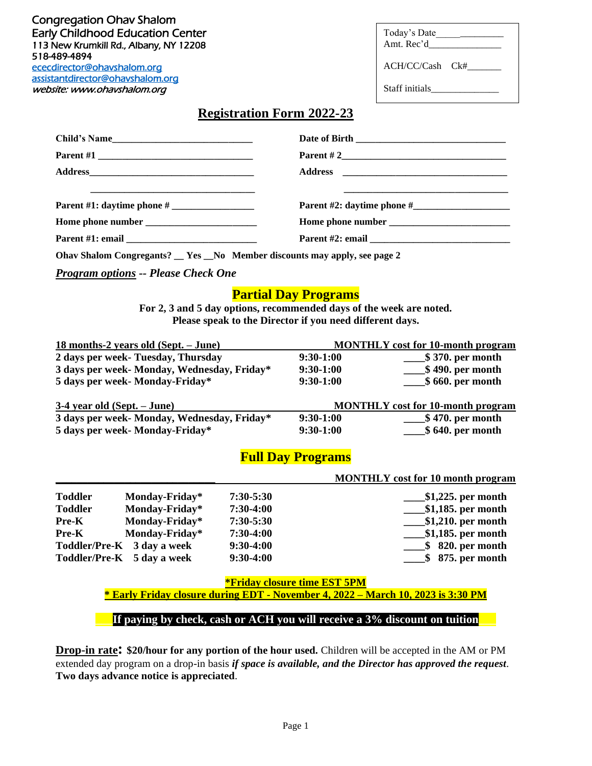[ececdirector@ohavshalom.org](mailto:ececdirector@ohavshalom.org)  Congregation Ohav Shalom Early Childhood Education Center 113 New Krumkill Rd., Albany, NY 12208 518-489-4894 [assistantdirector@ohavshalom.org](mailto:assistantdirector@ohavshalom.org) 

website: www.ohavshalom.org

| Today's Date |  |
|--------------|--|
| Amt. Rec'd   |  |

ACH/CC/Cash Ck#\_\_\_\_\_\_\_

**\_\_\_\_\_\_\_\_\_\_\_\_\_\_\_\_\_\_\_\_\_\_\_\_\_\_\_\_\_\_ MONTHLY cost for 10 month program**

Staff initials

### **Registration Form 2022-23**

| Child's Name               |                                                                    |
|----------------------------|--------------------------------------------------------------------|
|                            | Parent # 2                                                         |
|                            |                                                                    |
|                            | <u> 2008 - Johann John Stone, mensk politik fotograf (d. 1908)</u> |
| Parent #1: daytime phone # | Parent #2: daytime phone #                                         |
|                            |                                                                    |
|                            |                                                                    |
|                            |                                                                    |

**Ohav Shalom Congregants? \_\_ Yes \_\_No Member discounts may apply, see page 2**

*Program options -- Please Check One*

#### **Partial Day Programs**

**For 2, 3 and 5 day options, recommended days of the week are noted. Please speak to the Director if you need different days.**

| 18 months-2 years old (Sept. – June)        | <b>MONTHLY</b> cost for 10-month program |                                          |  |
|---------------------------------------------|------------------------------------------|------------------------------------------|--|
| 2 days per week- Tuesday, Thursday          | $9:30-1:00$                              | \$370. per month                         |  |
| 3 days per week- Monday, Wednesday, Friday* | $9:30-1:00$                              | $$490.$ per month                        |  |
| 5 days per week- Monday-Friday*             | $9:30-1:00$                              | $$660.$ per month                        |  |
| $3-4$ year old (Sept. $-$ June)             |                                          | <b>MONTHLY</b> cost for 10-month program |  |
| 3 days per week- Monday, Wednesday, Friday* | $9:30-1:00$                              | <b>_\$ 470. per month</b>                |  |
| 5 days per week- Monday-Friday*             | $9:30-1:00$                              | $$640.$ per month                        |  |

# **Full Day Programs**

|                |                            |               | <b>NOT THE PLACE OF THE HUMAN PLACE OF</b> |
|----------------|----------------------------|---------------|--------------------------------------------|
| <b>Toddler</b> | Monday-Friday*             | $7:30 - 5:30$ | $$1,225$ , per month                       |
| <b>Toddler</b> | Monday-Friday*             | $7:30-4:00$   |                                            |
| <b>Pre-K</b>   | Monday-Friday*             | $7:30 - 5:30$ | $\sqrt{\$1,210}$ per month                 |
| <b>Pre-K</b>   | Monday-Friday*             | $7:30-4:00$   | $\_\_\$ \$1,185. per month                 |
|                | Toddler/Pre-K 3 day a week | $9:30-4:00$   | 820. per month<br>SS 5                     |
|                | Toddler/Pre-K 5 day a week | $9:30-4:00$   | $$875.$ per month                          |
|                |                            |               |                                            |

**\*Friday closure time EST 5PM**

**\* Early Friday closure during EDT - November 4, 2022 – March 10, 2023 is 3:30 PM**

#### If paying by check, cash or ACH you will receive a 3% discount on tuition

**Drop-in rate: \$20/hour for any portion of the hour used.** Children will be accepted in the AM or PM extended day program on a drop-in basis *if space is available, and the Director has approved the request*. **Two days advance notice is appreciated**.